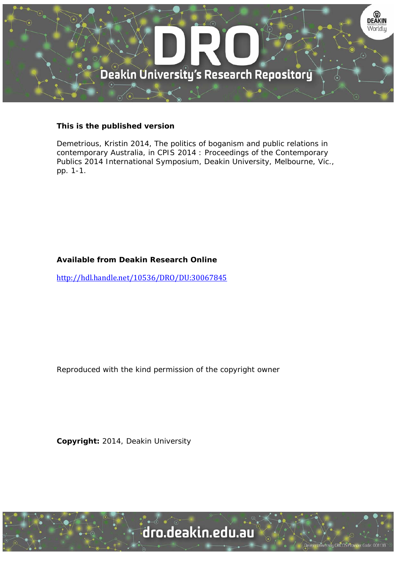

#### **This is the published version**

Demetrious, Kristin 2014, The politics of boganism and public relations in contemporary Australia, in CPIS 2014 : Proceedings of the Contemporary Publics 2014 International Symposium, Deakin University, Melbourne, Vic., pp. 1-1.

### **Available from Deakin Research Online**

http://hdl.handle.net/10536/DRO/DU:30067845

Reproduced with the kind permission of the copyright owner

**Copyright:** 2014, Deakin University

University CRICOS Provider Code: 00113B